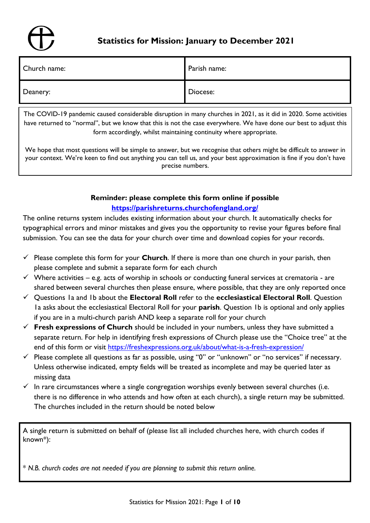# **Statistics for Mission: January to December 2021**

| Church name: | Parish name: |
|--------------|--------------|
| Deanery:     | Diocese:     |

The COVID-19 pandemic caused considerable disruption in many churches in 2021, as it did in 2020. Some activities have returned to "normal", but we know that this is not the case everywhere. We have done our best to adjust this form accordingly, whilst maintaining continuity where appropriate.

We hope that most questions will be simple to answer, but we recognise that others might be difficult to answer in your context. We're keen to find out anything you can tell us, and your best approximation is fine if you don't have precise numbers.

# **Reminder: please complete this form online if possible <https://parishreturns.churchofengland.org/>**

The online returns system includes existing information about your church. It automatically checks for typographical errors and minor mistakes and gives you the opportunity to revise your figures before final submission. You can see the data for your church over time and download copies for your records.

- ✓ Please complete this form for your **Church**. If there is more than one church in your parish, then please complete and submit a separate form for each church
- $\checkmark$  Where activities e.g. acts of worship in schools or conducting funeral services at crematoria are shared between several churches then please ensure, where possible, that they are only reported once
- ✓ Questions 1a and 1b about the **Electoral Roll** refer to the **ecclesiastical Electoral Roll**. Question 1a asks about the ecclesiastical Electoral Roll for your **parish**. Question 1b is optional and only applies if you are in a multi-church parish AND keep a separate roll for your church
- ✓ **Fresh expressions of Church** should be included in your numbers, unless they have submitted a separate return. For help in identifying fresh expressions of Church please use the "Choice tree" at the end of this form or visit<https://freshexpressions.org.uk/about/what-is-a-fresh-expression/>
- $\checkmark$  Please complete all questions as far as possible, using "0" or "unknown" or "no services" if necessary. Unless otherwise indicated, empty fields will be treated as incomplete and may be queried later as missing data
- $\checkmark$  In rare circumstances where a single congregation worships evenly between several churches (i.e. there is no difference in who attends and how often at each church), a single return may be submitted. The churches included in the return should be noted below

A single return is submitted on behalf of (please list all included churches here, with church codes if known\*):

\* *N.B. church codes are not needed if you are planning to submit this return online.*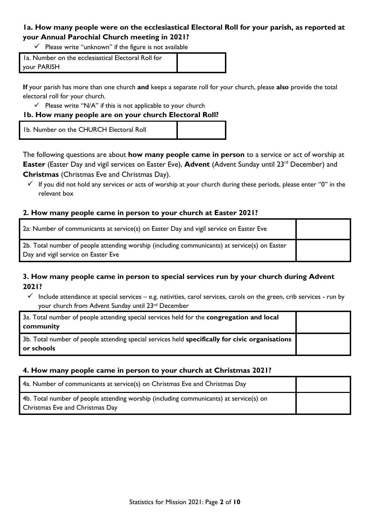# **1a. How many people were on the ecclesiastical Electoral Roll for your parish, as reported at your Annual Parochial Church meeting in 2021?**

 $\checkmark$  Please write "unknown" if the figure is not available

| Ia. Number on the ecclesiastical Electoral Roll for |  |
|-----------------------------------------------------|--|
| your PARISH                                         |  |

**If** your parish has more than one church **and** keeps a separate roll for your church, please **also** provide the total electoral roll for your church.

 $\checkmark$  Please write "N/A" if this is not applicable to your church

### **1b. How many people are on your church Electoral Roll?**

1b. Number on the CHURCH Electoral Roll

The following questions are about **how many people came in person** to a service or act of worship at **Easter** (Easter Day and vigil services on Easter Eve), **Advent** (Advent Sunday until 23<sup>rd</sup> December) and **Christmas** (Christmas Eve and Christmas Day).

 $\checkmark$  If you did not hold any services or acts of worship at your church during these periods, please enter "0" in the relevant box

## **2. How many people came in person to your church at Easter 2021?**

| 2a: Number of communicants at service(s) on Easter Day and vigil service on Easter Eve                                               |  |
|--------------------------------------------------------------------------------------------------------------------------------------|--|
| 2b. Total number of people attending worship (including communicants) at service(s) on Easter<br>Day and vigil service on Easter Eve |  |

## **3. How many people came in person to special services run by your church during Advent 2021?**

 $\checkmark$  Include attendance at special services – e.g. nativities, carol services, carols on the green, crib services - run by your church from Advent Sunday until 23rd December

| 3a. Total number of people attending special services held for the congregation and local<br>community        |  |
|---------------------------------------------------------------------------------------------------------------|--|
| 3b. Total number of people attending special services held specifically for civic organisations<br>or schools |  |

### **4. How many people came in person to your church at Christmas 2021?**

| 4a. Number of communicants at service(s) on Christmas Eve and Christmas Day                                                      |  |
|----------------------------------------------------------------------------------------------------------------------------------|--|
| 4b. Total number of people attending worship (including communicants) at service(s) on<br><b>Christmas Eve and Christmas Day</b> |  |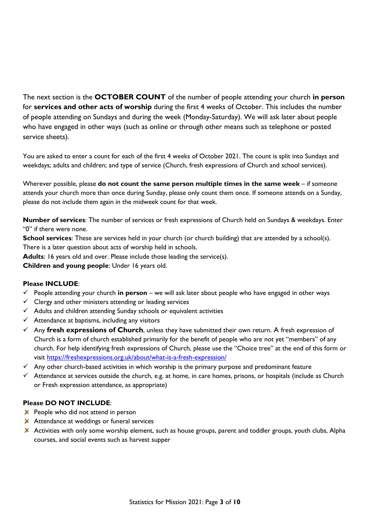The next section is the **OCTOBER COUNT** of the number of people attending your church **in person** for **services and other acts of worship** during the first 4 weeks of October. This includes the number of people attending on Sundays and during the week (Monday-Saturday). We will ask later about people who have engaged in other ways (such as online or through other means such as telephone or posted service sheets).

You are asked to enter a count for each of the first 4 weeks of October 2021. The count is split into Sundays and weekdays; adults and children; and type of service (Church, fresh expressions of Church and school services).

Wherever possible, please **do not count the same person multiple times in the same week** – if someone attends your church more than once during Sunday, please only count them once. If someone attends on a Sunday, please do not include them again in the midweek count for that week.

**Number of services**: The number of services or fresh expressions of Church held on Sundays & weekdays. Enter "0" if there were none.

**School services**: These are services held in your church (or church building) that are attended by a school(s). There is a later question about acts of worship held in schools.

**Adults**: 16 years old and over. Please include those leading the service(s).

**Children and young people**: Under 16 years old.

#### **Please INCLUDE**:

- ✓ People attending your church **in person** we will ask later about people who have engaged in other ways
- $\checkmark$  Clergy and other ministers attending or leading services
- $\checkmark$  Adults and children attending Sunday schools or equivalent activities
- $\checkmark$  Attendance at baptisms, including any visitors
- ✓ Any **fresh expressions of Church**, unless they have submitted their own return. A fresh expression of Church is a form of church established primarily for the benefit of people who are not yet "members" of any church. For help identifying fresh expressions of Church, please use the "Choice tree" at the end of this form or visit<https://freshexpressions.org.uk/about/what-is-a-fresh-expression/>
- $\checkmark$  Any other church-based activities in which worship is the primary purpose and predominant feature
- $\checkmark$  Attendance at services outside the church, e.g. at home, in care homes, prisons, or hospitals (include as Church or Fresh expression attendance, as appropriate)

#### **Please DO NOT INCLUDE**:

- $\times$  People who did not attend in person
- **X** Attendance at weddings or funeral services
- X Activities with only some worship element, such as house groups, parent and toddler groups, youth clubs, Alpha courses, and social events such as harvest supper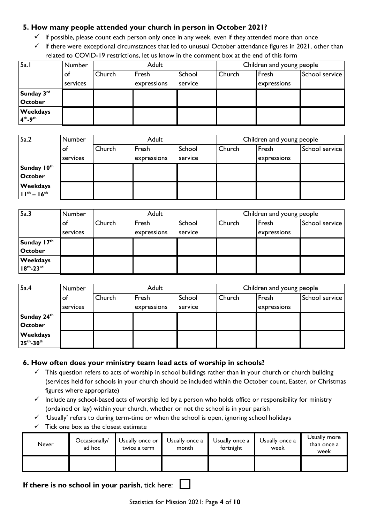## **5. How many people attended your church in person in October 2021?**

- $\checkmark$  If possible, please count each person only once in any week, even if they attended more than once
- $\checkmark$  If there were exceptional circumstances that led to unusual October attendance figures in 2021, other than related to COVID-19 restrictions, let us know in the comment box at the end of this form

| 5a. I                   | <b>Number</b> | Adult  |             |         | Children and young people |             |                |
|-------------------------|---------------|--------|-------------|---------|---------------------------|-------------|----------------|
|                         | оf            | Church | Fresh       | School  | Church                    | Fresh       | School service |
|                         | services      |        | expressions | service |                           | expressions |                |
| Sunday 3rd              |               |        |             |         |                           |             |                |
| <b>October</b>          |               |        |             |         |                           |             |                |
| Weekdays<br>$4th - 9th$ |               |        |             |         |                           |             |                |

| 5a.2                            | Number   | Adult  |             |         | Children and young people |             |                |
|---------------------------------|----------|--------|-------------|---------|---------------------------|-------------|----------------|
|                                 | of       | Church | Fresh       | School  | Church                    | Fresh       | School service |
|                                 | services |        | expressions | service |                           | expressions |                |
| Sunday 10th                     |          |        |             |         |                           |             |                |
| <b>October</b>                  |          |        |             |         |                           |             |                |
| Weekdays<br>$11^{th} - 16^{th}$ |          |        |             |         |                           |             |                |
|                                 |          |        |             |         |                           |             |                |

| 5a.3                            | Number   | Adult  |             |         | Children and young people |             |                |
|---------------------------------|----------|--------|-------------|---------|---------------------------|-------------|----------------|
|                                 | оf       | Church | Fresh       | School  | Church                    | Fresh       | School service |
|                                 | services |        | expressions | service |                           | expressions |                |
| Sunday 17th                     |          |        |             |         |                           |             |                |
| <b>October</b>                  |          |        |             |         |                           |             |                |
| Weekdays<br>$18^{th} - 23^{rd}$ |          |        |             |         |                           |             |                |

| 5a.4                                   | Number   | Adult  |             |         | Children and young people |             |                |
|----------------------------------------|----------|--------|-------------|---------|---------------------------|-------------|----------------|
|                                        | of       | Church | Fresh       | School  | Church                    | Fresh       | School service |
|                                        | services |        | expressions | service |                           | expressions |                |
| Sunday 24th                            |          |        |             |         |                           |             |                |
| <b>October</b>                         |          |        |             |         |                           |             |                |
| <b>Weekdays</b><br>$25^{th} - 30^{th}$ |          |        |             |         |                           |             |                |

#### **6. How often does your ministry team lead acts of worship in schools?**

- $\checkmark$  This question refers to acts of worship in school buildings rather than in your church or church building (services held for schools in your church should be included within the October count, Easter, or Christmas figures where appropriate)
- $\checkmark$  Include any school-based acts of worship led by a person who holds office or responsibility for ministry (ordained or lay) within your church, whether or not the school is in your parish
- ✓ 'Usually' refers to during term-time or when the school is open, ignoring school holidays
- $\checkmark$  Tick one box as the closest estimate

| Never | Occasionally/<br>ad hoc | Usually once or<br>twice a term | Usually once a<br>month | Usually once a<br>fortnight | Usually once a<br>week | Usually more<br>than once a<br>week |
|-------|-------------------------|---------------------------------|-------------------------|-----------------------------|------------------------|-------------------------------------|
|       |                         |                                 |                         |                             |                        |                                     |

**If there is no school in your parish**, tick here: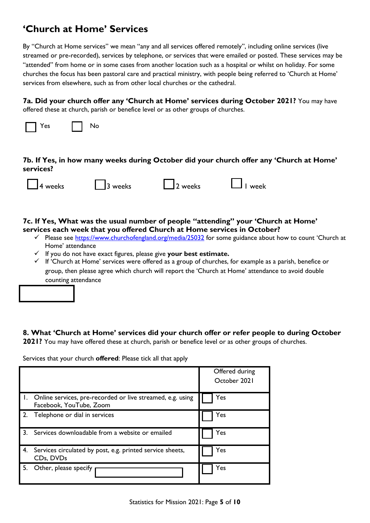# **'Church at Home' Services**

By "Church at Home services" we mean "any and all services offered remotely", including online services (live streamed or pre-recorded), services by telephone, or services that were emailed or posted. These services may be "attended" from home or in some cases from another location such as a hospital or whilst on holiday. For some churches the focus has been pastoral care and practical ministry, with people being referred to 'Church at Home' services from elsewhere, such as from other local churches or the cathedral.

**7a. Did your church offer any 'Church at Home' services during October 2021?** You may have offered these at church, parish or benefice level or as other groups of churches.



## **7b. If Yes, in how many weeks during October did your church offer any 'Church at Home' services?**

**7c. If Yes, What was the usual number of people "attending" your 'Church at Home' services each week that you offered Church at Home services in October?**

- ✓ Please see <https://www.churchofengland.org/media/25032> for some guidance about how to count 'Church at Home' attendance
- ✓ If you do not have exact figures, please give **your best estimate.**
- $\checkmark$  If 'Church at Home' services were offered as a group of churches, for example as a parish, benefice or group, then please agree which church will report the 'Church at Home' attendance to avoid double counting attendance

## **8. What 'Church at Home' services did your church offer or refer people to during October**

**2021?** You may have offered these at church, parish or benefice level or as other groups of churches.

Services that your church **offered**: Please tick all that apply

|    |                                                                                       | Offered during<br>October 2021 |
|----|---------------------------------------------------------------------------------------|--------------------------------|
|    | Online services, pre-recorded or live streamed, e.g. using<br>Facebook, YouTube, Zoom | Yes                            |
|    | Telephone or dial in services                                                         | Yes                            |
| 3. | Services downloadable from a website or emailed                                       | Yes                            |
| 4. | Services circulated by post, e.g. printed service sheets,<br>CDs, DVDs                | Yes                            |
| 5. | Other, please specify                                                                 | Yes                            |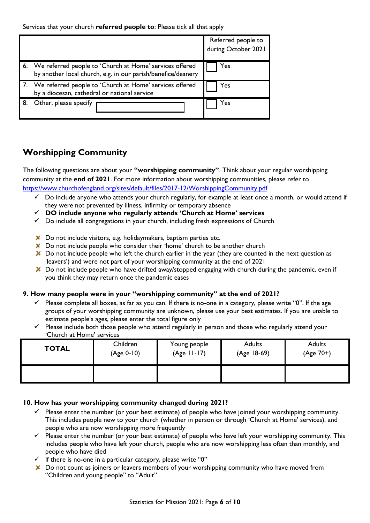Services that your church **referred people to**: Please tick all that apply

|                                                                                                                            | Referred people to<br>during October 2021 |
|----------------------------------------------------------------------------------------------------------------------------|-------------------------------------------|
| 6. We referred people to 'Church at Home' services offered<br>by another local church, e.g. in our parish/benefice/deanery | Yes                                       |
| 7. We referred people to 'Church at Home' services offered<br>by a diocesan, cathedral or national service                 | Yes                                       |
| Other, please specify                                                                                                      | Yes                                       |

# **Worshipping Community**

The following questions are about your **"worshipping community"**. Think about your regular worshipping community at the **end of 2021**. For more information about worshipping communities, please refer to <https://www.churchofengland.org/sites/default/files/2017-12/WorshippingCommunity.pdf>

- ✓ Do include anyone who attends your church regularly, for example at least once a month, or would attend if they were not prevented by illness, infirmity or temporary absence
- ✓ **DO include anyone who regularly attends 'Church at Home' services**
- $\checkmark$  Do include all congregations in your church, including fresh expressions of Church
- X Do not include visitors, e.g. holidaymakers, baptism parties etc.
- $\boldsymbol{\times}$  Do not include people who consider their 'home' church to be another church
- $\boldsymbol{\times}$  Do not include people who left the church earlier in the year (they are counted in the next question as 'leavers') and were not part of your worshipping community at the end of 2021
- X Do not include people who have drifted away/stopped engaging with church during the pandemic, even if you think they may return once the pandemic eases

#### **9. How many people were in your "worshipping community" at the end of 2021?**

- $\checkmark$  Please complete all boxes, as far as you can. If there is no-one in a category, please write "0". If the age groups of your worshipping community are unknown, please use your best estimates. If you are unable to estimate people's ages, please enter the total figure only
- $\checkmark$  Please include both those people who attend regularly in person and those who regularly attend your 'Church at Home' services

| <b>TOTAL</b> | Children   | Young people  | <b>Adults</b> | <b>Adults</b> |
|--------------|------------|---------------|---------------|---------------|
|              | (Age 0-10) | $(Age 11-17)$ | (Age 18-69)   | (Age 70+)     |
|              |            |               |               |               |

#### **10. How has your worshipping community changed during 2021?**

- $\checkmark$  Please enter the number (or your best estimate) of people who have joined your worshipping community. This includes people new to your church (whether in person or through 'Church at Home' services), and people who are now worshipping more frequently
- ✓ Please enter the number (or your best estimate) of people who have left your worshipping community. This includes people who have left your church, people who are now worshipping less often than monthly, and people who have died
- ✓ If there is no-one in a particular category, please write "0"
- X Do not count as joiners or leavers members of your worshipping community who have moved from "Children and young people" to "Adult"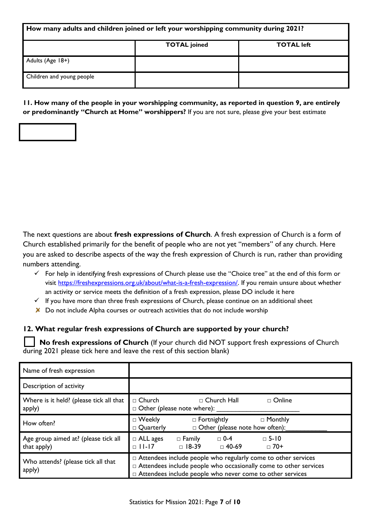| How many adults and children joined or left your worshipping community during 2021? |                     |                   |  |
|-------------------------------------------------------------------------------------|---------------------|-------------------|--|
|                                                                                     | <b>TOTAL</b> joined | <b>TOTAL left</b> |  |
| Adults (Age 18+)                                                                    |                     |                   |  |
| Children and young people                                                           |                     |                   |  |

**11. How many of the people in your worshipping community, as reported in question 9, are entirely or predominantly "Church at Home" worshippers?** If you are not sure, please give your best estimate

The next questions are about **fresh expressions of Church**. A fresh expression of Church is a form of Church established primarily for the benefit of people who are not yet "members" of any church. Here you are asked to describe aspects of the way the fresh expression of Church is run, rather than providing numbers attending.

- $\checkmark$  For help in identifying fresh expressions of Church please use the "Choice tree" at the end of this form or visit [https://freshexpressions.org.uk/about/what-is-a-fresh-expression/.](https://freshexpressions.org.uk/about/what-is-a-fresh-expression/) If you remain unsure about whether an activity or service meets the definition of a fresh expression, please DO include it here
- $\checkmark$  If you have more than three fresh expressions of Church, please continue on an additional sheet
- $\boldsymbol{\times}$  Do not include Alpha courses or outreach activities that do not include worship

### **12. What regular fresh expressions of Church are supported by your church?**

 **No fresh expressions of Church** (If your church did NOT support fresh expressions of Church during 2021 please tick here and leave the rest of this section blank)

| Name of fresh expression                            |                                                                                                                                                                                                           |  |  |
|-----------------------------------------------------|-----------------------------------------------------------------------------------------------------------------------------------------------------------------------------------------------------------|--|--|
| Description of activity                             |                                                                                                                                                                                                           |  |  |
| Where is it held? (please tick all that<br>apply)   | $\Box$ Church<br>$\Box$ Church Hall<br>$\Box$ Online<br>$\Box$ Other (please note where):                                                                                                                 |  |  |
| How often?                                          | □ Monthly<br>$\Box$ Weekly<br>$\Box$ Fortnightly<br>$\Box$ Other (please note how often):<br>$\Box$ Quarterly                                                                                             |  |  |
| Age group aimed at? (please tick all<br>that apply) | $\Box$ 0-4<br>$\Box$ 5-10<br>$\Box$ ALL ages<br>$\Box$ Family<br>$\Box$ 11-17<br>$\Box$ 18-39<br>$\Box$ 70+<br>□ 40-69                                                                                    |  |  |
| Who attends? (please tick all that<br>apply)        | $\Box$ Attendees include people who regularly come to other services<br>□ Attendees include people who occasionally come to other services<br>□ Attendees include people who never come to other services |  |  |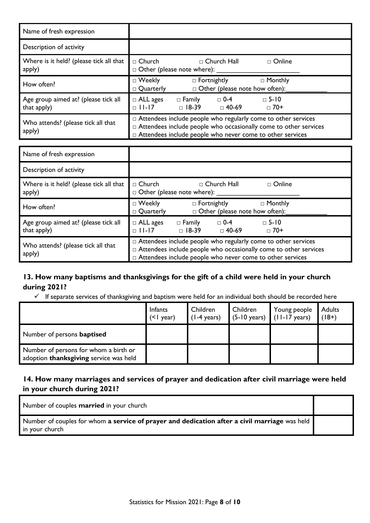| Name of fresh expression                            |                                                                                                                                                                                                                |  |  |
|-----------------------------------------------------|----------------------------------------------------------------------------------------------------------------------------------------------------------------------------------------------------------------|--|--|
| Description of activity                             |                                                                                                                                                                                                                |  |  |
| Where is it held? (please tick all that<br>apply)   | $\Box$ Church Hall<br>$\Box$ Church<br>$\Box$ Online<br>$\Box$ Other (please note where):                                                                                                                      |  |  |
| How often?                                          | $\Box$ Monthly<br>$\Box$ Weekly<br>$\Box$ Fortnightly<br>$\Box$ Other (please note how often):<br>$\Box$ Quarterly                                                                                             |  |  |
| Age group aimed at? (please tick all<br>that apply) | $\Box$ 5-10<br>$\Box$ ALL ages<br>$\Box$ Family<br>$\square$ 0-4<br>$\Box$ 18-39<br>$\Box$ 11-17<br>$\Box$ 70+<br>$\Box$ 40-69                                                                                 |  |  |
| Who attends? (please tick all that<br>apply)        | $\Box$ Attendees include people who regularly come to other services<br>$\Box$ Attendees include people who occasionally come to other services<br>□ Attendees include people who never come to other services |  |  |

| Name of fresh expression                            |                                                                                                                                                                                                           |  |  |
|-----------------------------------------------------|-----------------------------------------------------------------------------------------------------------------------------------------------------------------------------------------------------------|--|--|
| Description of activity                             |                                                                                                                                                                                                           |  |  |
| Where is it held? (please tick all that<br>apply)   | $\Box$ Church<br>□ Church Hall<br>□ Online<br>$\Box$ Other (please note where):                                                                                                                           |  |  |
| How often?                                          | $\Box$ Fortnightly<br>$\Box$ Monthly<br>$\Box$ Weekly<br>$\Box$ Other (please note how often):<br>$\Box$ Quarterly                                                                                        |  |  |
| Age group aimed at? (please tick all<br>that apply) | $\square$ 0-4<br>$\Box$ 5-10<br>$\Box$ ALL ages<br>$\Box$ Family<br>$\Box$ 11-17<br>$\Box$ 18-39<br>□ 40-69<br>$\Box$ 70+                                                                                 |  |  |
| Who attends? (please tick all that<br>apply)        | $\Box$ Attendees include people who regularly come to other services<br>□ Attendees include people who occasionally come to other services<br>□ Attendees include people who never come to other services |  |  |

# **13. How many baptisms and thanksgivings for the gift of a child were held in your church during 2021?**

✓ If separate services of thanksgiving and baptism were held for an individual both should be recorded here

|                                                                                 | Infants<br>$($ $ $ year) | Children<br>$(1-4 \text{ years})$ | Children | Young people<br>$(5-10 \text{ years})$ $(11-17 \text{ years})$ | Adults<br>$(18+)$ |
|---------------------------------------------------------------------------------|--------------------------|-----------------------------------|----------|----------------------------------------------------------------|-------------------|
| Number of persons <b>baptised</b>                                               |                          |                                   |          |                                                                |                   |
| Number of persons for whom a birth or<br>adoption thanksgiving service was held |                          |                                   |          |                                                                |                   |

# **14. How many marriages and services of prayer and dedication after civil marriage were held in your church during 2021?**

Number of couples **married** in your church

Number of couples for whom **a service of prayer and dedication after a civil marriage** was held in your church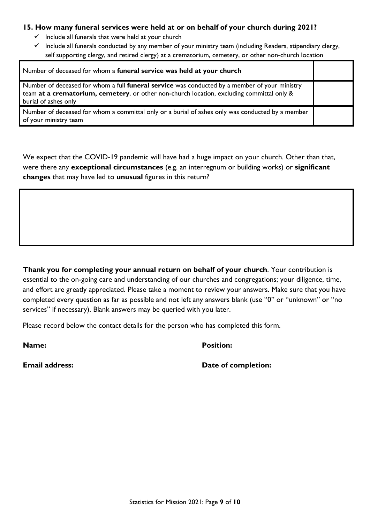#### **15. How many funeral services were held at or on behalf of your church during 2021?**

- $\checkmark$  Include all funerals that were held at your church
- $\checkmark$  Include all funerals conducted by any member of your ministry team (including Readers, stipendiary clergy, self supporting clergy, and retired clergy) at a crematorium, cemetery, or other non-church location

| Number of deceased for whom a funeral service was held at your church                                                                                                                                                     |  |  |
|---------------------------------------------------------------------------------------------------------------------------------------------------------------------------------------------------------------------------|--|--|
| Number of deceased for whom a full <b>funeral service</b> was conducted by a member of your ministry<br>team at a crematorium, cemetery, or other non-church location, excluding committal only &<br>burial of ashes only |  |  |
| Number of deceased for whom a committal only or a burial of ashes only was conducted by a member<br>of your ministry team                                                                                                 |  |  |

We expect that the COVID-19 pandemic will have had a huge impact on your church. Other than that, were there any **exceptional circumstances** (e.g. an interregnum or building works) or **significant changes** that may have led to **unusual** figures in this return?

**Thank you for completing your annual return on behalf of your church**. Your contribution is essential to the on-going care and understanding of our churches and congregations; your diligence, time, and effort are greatly appreciated. Please take a moment to review your answers. Make sure that you have completed every question as far as possible and not left any answers blank (use "0" or "unknown" or "no services" if necessary). Blank answers may be queried with you later.

Please record below the contact details for the person who has completed this form.

**Name: Position:**

**Email address: Date of completion:**